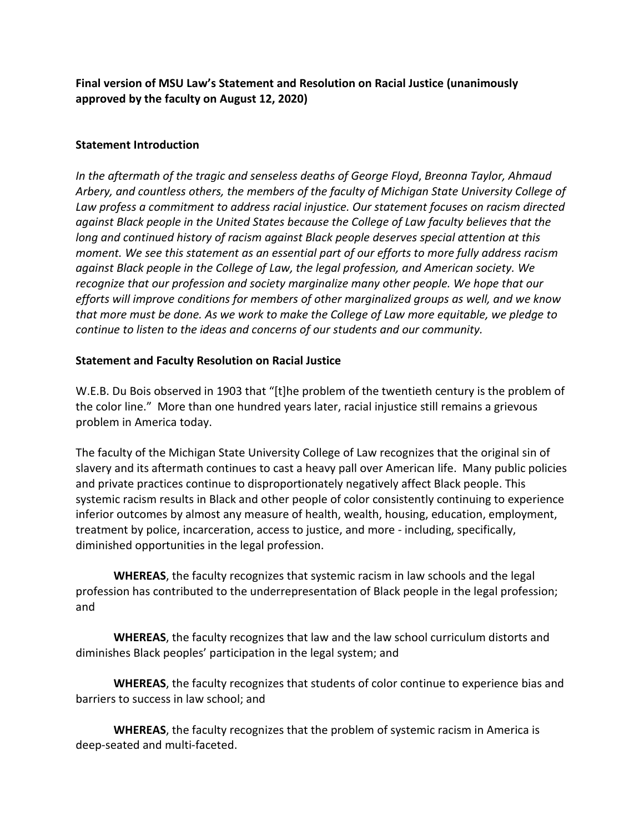**Final version of MSU Law's Statement and Resolution on Racial Justice (unanimously approved by the faculty on August 12, 2020)**

## **Statement Introduction**

*In the aftermath of the tragic and senseless deaths of George Floyd*, *Breonna Taylor, Ahmaud Arbery, and countless others, the members of the faculty of Michigan State University College of Law profess a commitment to address racial injustice. Our statement focuses on racism directed against Black people in the United States because the College of Law faculty believes that the long and continued history of racism against Black people deserves special attention at this moment. We see this statement as an essential part of our efforts to more fully address racism against Black people in the College of Law, the legal profession, and American society. We recognize that our profession and society marginalize many other people. We hope that our efforts will improve conditions for members of other marginalized groups as well, and we know that more must be done. As we work to make the College of Law more equitable, we pledge to continue to listen to the ideas and concerns of our students and our community.*

## **Statement and Faculty Resolution on Racial Justice**

W.E.B. Du Bois observed in 1903 that "[t]he problem of the twentieth century is the problem of the color line." More than one hundred years later, racial injustice still remains a grievous problem in America today.

The faculty of the Michigan State University College of Law recognizes that the original sin of slavery and its aftermath continues to cast a heavy pall over American life. Many public policies and private practices continue to disproportionately negatively affect Black people. This systemic racism results in Black and other people of color consistently continuing to experience inferior outcomes by almost any measure of health, wealth, housing, education, employment, treatment by police, incarceration, access to justice, and more - including, specifically, diminished opportunities in the legal profession.

**WHEREAS**, the faculty recognizes that systemic racism in law schools and the legal profession has contributed to the underrepresentation of Black people in the legal profession; and

**WHEREAS**, the faculty recognizes that law and the law school curriculum distorts and diminishes Black peoples' participation in the legal system; and

**WHEREAS**, the faculty recognizes that students of color continue to experience bias and barriers to success in law school; and

**WHEREAS**, the faculty recognizes that the problem of systemic racism in America is deep-seated and multi-faceted.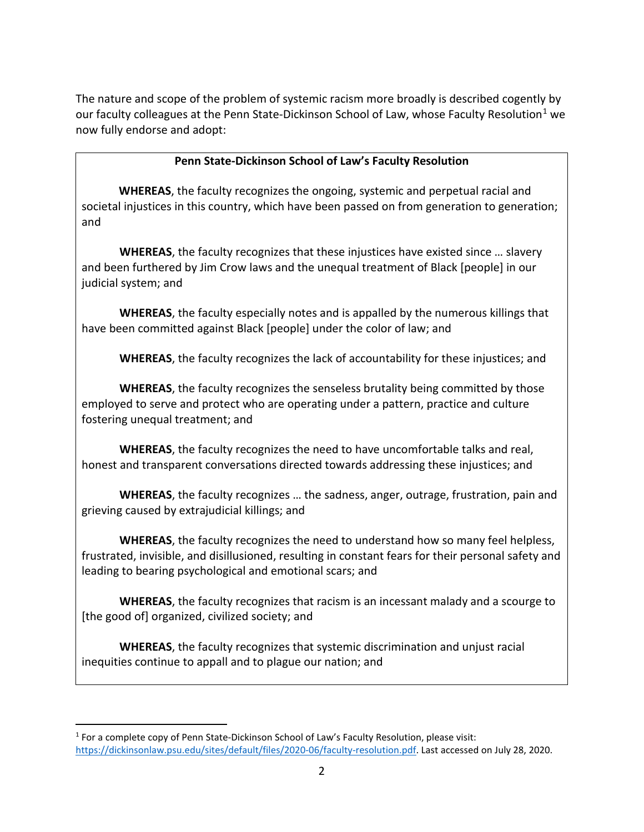The nature and scope of the problem of systemic racism more broadly is described cogently by our faculty colleagues at the Penn State-Dickinson School of Law, whose Faculty Resolution<sup>[1](#page-1-0)</sup> we now fully endorse and adopt:

## **Penn State-Dickinson School of Law's Faculty Resolution**

 **WHEREAS**, the faculty recognizes the ongoing, systemic and perpetual racial and societal injustices in this country, which have been passed on from generation to generation; and

**WHEREAS**, the faculty recognizes that these injustices have existed since … slavery and been furthered by Jim Crow laws and the unequal treatment of Black [people] in our judicial system; and

**WHEREAS**, the faculty especially notes and is appalled by the numerous killings that have been committed against Black [people] under the color of law; and

**WHEREAS**, the faculty recognizes the lack of accountability for these injustices; and

**WHEREAS**, the faculty recognizes the senseless brutality being committed by those employed to serve and protect who are operating under a pattern, practice and culture fostering unequal treatment; and

**WHEREAS**, the faculty recognizes the need to have uncomfortable talks and real, honest and transparent conversations directed towards addressing these injustices; and

**WHEREAS**, the faculty recognizes … the sadness, anger, outrage, frustration, pain and grieving caused by extrajudicial killings; and

**WHEREAS**, the faculty recognizes the need to understand how so many feel helpless, frustrated, invisible, and disillusioned, resulting in constant fears for their personal safety and leading to bearing psychological and emotional scars; and

**WHEREAS**, the faculty recognizes that racism is an incessant malady and a scourge to [the good of] organized, civilized society; and

**WHEREAS**, the faculty recognizes that systemic discrimination and unjust racial inequities continue to appall and to plague our nation; and

<span id="page-1-0"></span><sup>1</sup> For a complete copy of Penn State-Dickinson School of Law's Faculty Resolution, please visit: [https://dickinsonlaw.psu.edu/sites/default/files/2020-06/faculty-resolution.pdf.](https://dickinsonlaw.psu.edu/sites/default/files/2020-06/faculty-resolution.pdf) Last accessed on July 28, 2020.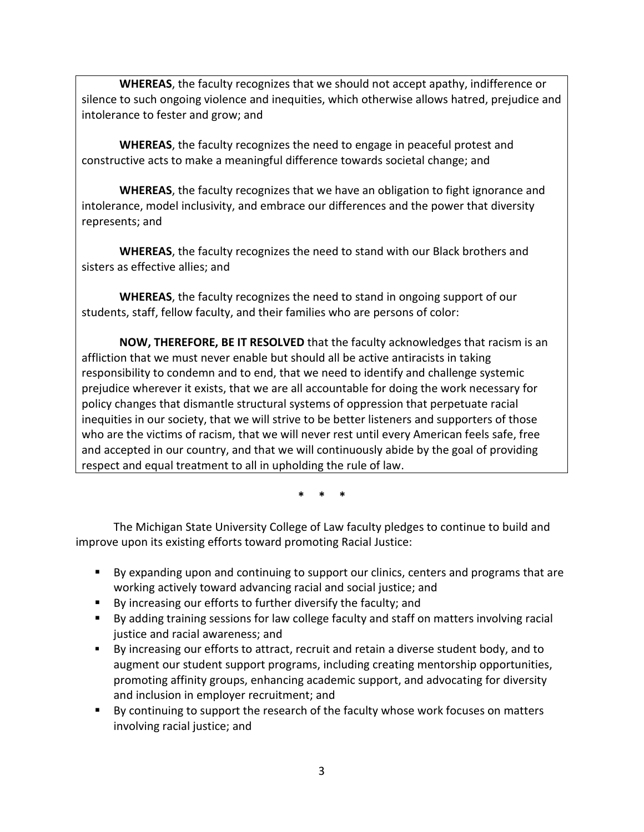**WHEREAS**, the faculty recognizes that we should not accept apathy, indifference or silence to such ongoing violence and inequities, which otherwise allows hatred, prejudice and intolerance to fester and grow; and

**WHEREAS**, the faculty recognizes the need to engage in peaceful protest and constructive acts to make a meaningful difference towards societal change; and

**WHEREAS**, the faculty recognizes that we have an obligation to fight ignorance and intolerance, model inclusivity, and embrace our differences and the power that diversity represents; and

**WHEREAS**, the faculty recognizes the need to stand with our Black brothers and sisters as effective allies; and

**WHEREAS**, the faculty recognizes the need to stand in ongoing support of our students, staff, fellow faculty, and their families who are persons of color:

**NOW, THEREFORE, BE IT RESOLVED** that the faculty acknowledges that racism is an affliction that we must never enable but should all be active antiracists in taking responsibility to condemn and to end, that we need to identify and challenge systemic prejudice wherever it exists, that we are all accountable for doing the work necessary for policy changes that dismantle structural systems of oppression that perpetuate racial inequities in our society, that we will strive to be better listeners and supporters of those who are the victims of racism, that we will never rest until every American feels safe, free and accepted in our country, and that we will continuously abide by the goal of providing respect and equal treatment to all in upholding the rule of law.

**\* \* \***

The Michigan State University College of Law faculty pledges to continue to build and improve upon its existing efforts toward promoting Racial Justice:

- By expanding upon and continuing to support our clinics, centers and programs that are working actively toward advancing racial and social justice; and
- By increasing our efforts to further diversify the faculty; and
- By adding training sessions for law college faculty and staff on matters involving racial justice and racial awareness; and
- By increasing our efforts to attract, recruit and retain a diverse student body, and to augment our student support programs, including creating mentorship opportunities, promoting affinity groups, enhancing academic support, and advocating for diversity and inclusion in employer recruitment; and
- By continuing to support the research of the faculty whose work focuses on matters involving racial justice; and